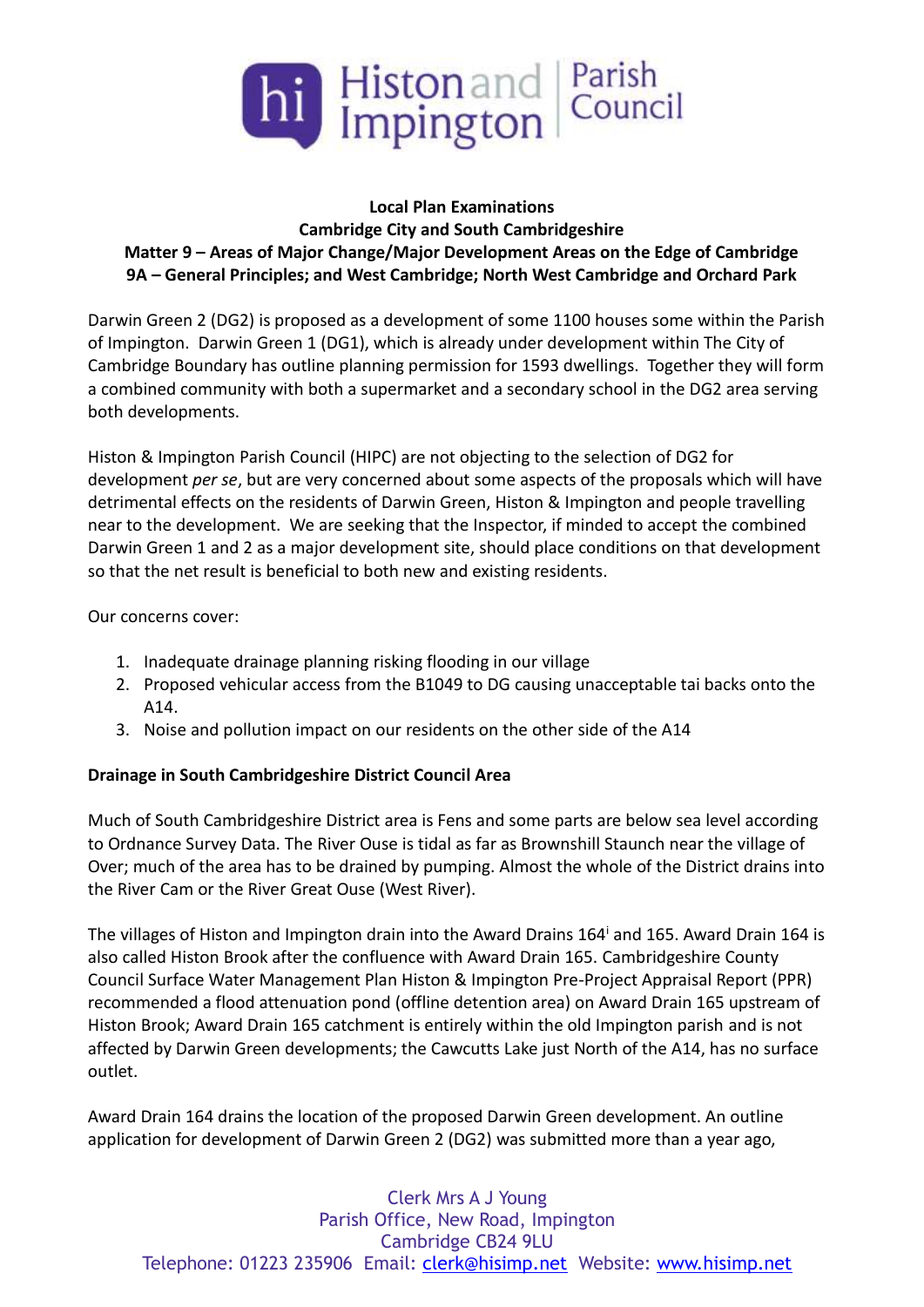

# **Local Plan Examinations Cambridge City and South Cambridgeshire Matter 9 – Areas of Major Change/Major Development Areas on the Edge of Cambridge 9A – General Principles; and West Cambridge; North West Cambridge and Orchard Park**

Darwin Green 2 (DG2) is proposed as a development of some 1100 houses some within the Parish of Impington. Darwin Green 1 (DG1), which is already under development within The City of Cambridge Boundary has outline planning permission for 1593 dwellings. Together they will form a combined community with both a supermarket and a secondary school in the DG2 area serving both developments.

Histon & Impington Parish Council (HIPC) are not objecting to the selection of DG2 for development *per se*, but are very concerned about some aspects of the proposals which will have detrimental effects on the residents of Darwin Green, Histon & Impington and people travelling near to the development. We are seeking that the Inspector, if minded to accept the combined Darwin Green 1 and 2 as a major development site, should place conditions on that development so that the net result is beneficial to both new and existing residents.

## Our concerns cover:

- 1. Inadequate drainage planning risking flooding in our village
- 2. Proposed vehicular access from the B1049 to DG causing unacceptable tai backs onto the A14.
- 3. Noise and pollution impact on our residents on the other side of the A14

## **Drainage in South Cambridgeshire District Council Area**

Much of South Cambridgeshire District area is Fens and some parts are below sea level according to Ordnance Survey Data. The River Ouse is tidal as far as Brownshill Staunch near the village of Over; much of the area has to be drained by pumping. Almost the whole of the District drains into the River Cam or the River Great Ouse (West River).

The villages of Histon and Impington drain into the Award Drains 164<sup>i</sup> and 165. Award Drain 164 is also called Histon Brook after the confluence with Award Drain 165. Cambridgeshire County Council Surface Water Management Plan Histon & Impington Pre-Project Appraisal Report (PPR) recommended a flood attenuation pond (offline detention area) on Award Drain 165 upstream of Histon Brook; Award Drain 165 catchment is entirely within the old Impington parish and is not affected by Darwin Green developments; the Cawcutts Lake just North of the A14, has no surface outlet.

Award Drain 164 drains the location of the proposed Darwin Green development. An outline application for development of Darwin Green 2 (DG2) was submitted more than a year ago,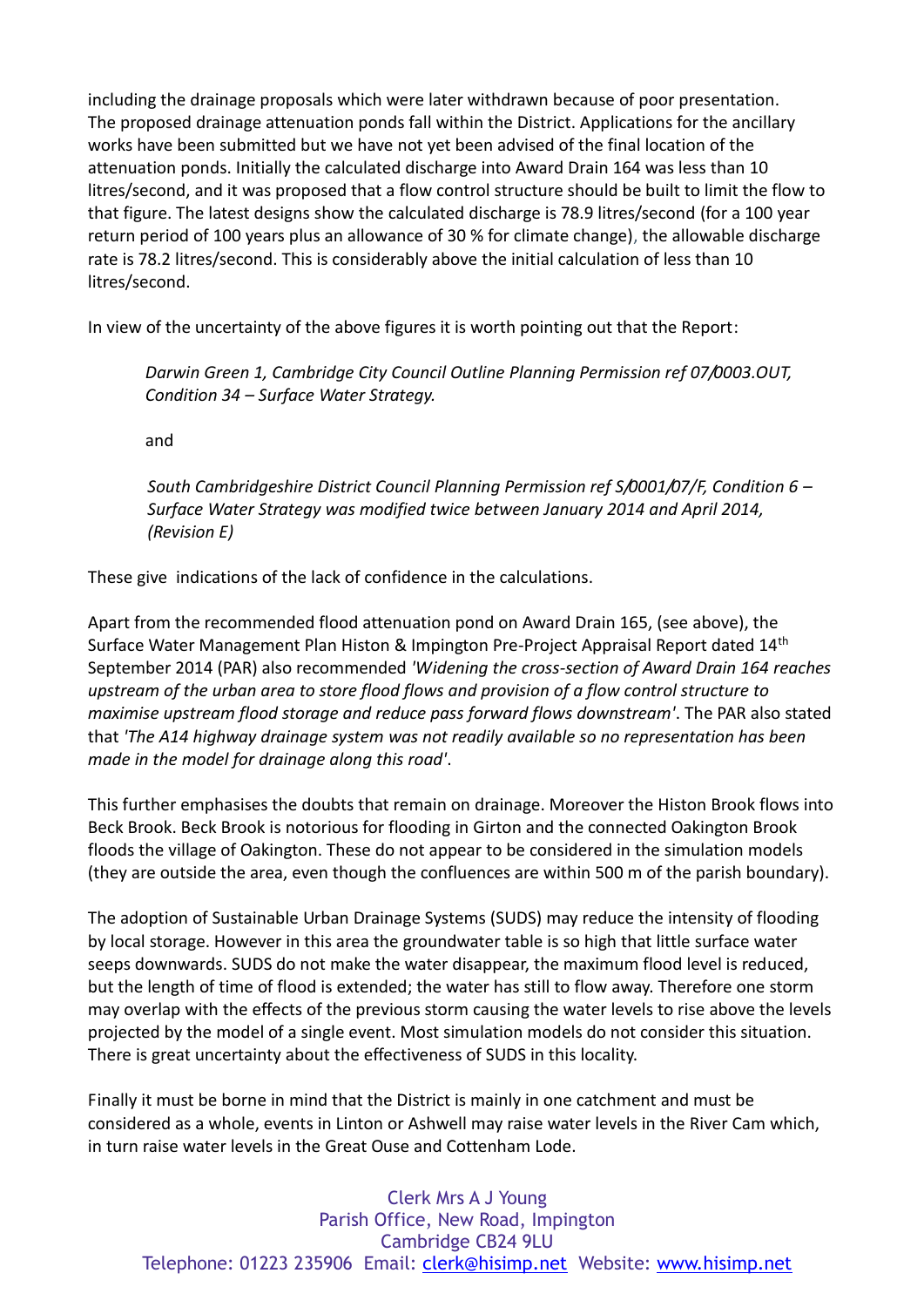including the drainage proposals which were later withdrawn because of poor presentation. The proposed drainage attenuation ponds fall within the District. Applications for the ancillary works have been submitted but we have not yet been advised of the final location of the attenuation ponds. Initially the calculated discharge into Award Drain 164 was less than 10 litres/second, and it was proposed that a flow control structure should be built to limit the flow to that figure. The latest designs show the calculated discharge is 78.9 litres/second (for a 100 year return period of 100 years plus an allowance of 30 % for climate change), the allowable discharge rate is 78.2 litres/second. This is considerably above the initial calculation of less than 10 litres/second.

In view of the uncertainty of the above figures it is worth pointing out that the Report:

*Darwin Green 1, Cambridge City Council Outline Planning Permission ref 07/0003.OUT, Condition 34 – Surface Water Strategy.*

and

*South Cambridgeshire District Council Planning Permission ref S/0001/07/F, Condition 6 – Surface Water Strategy was modified twice between January 2014 and April 2014, (Revision E)*

These give indications of the lack of confidence in the calculations.

Apart from the recommended flood attenuation pond on Award Drain 165, (see above), the Surface Water Management Plan Histon & Impington Pre-Project Appraisal Report dated 14th September 2014 (PAR) also recommended *'Widening the cross-section of Award Drain 164 reaches upstream of the urban area to store flood flows and provision of a flow control structure to maximise upstream flood storage and reduce pass forward flows downstream'*. The PAR also stated that *'The A14 highway drainage system was not readily available so no representation has been made in the model for drainage along this road'*.

This further emphasises the doubts that remain on drainage. Moreover the Histon Brook flows into Beck Brook. Beck Brook is notorious for flooding in Girton and the connected Oakington Brook floods the village of Oakington. These do not appear to be considered in the simulation models (they are outside the area, even though the confluences are within 500 m of the parish boundary).

The adoption of Sustainable Urban Drainage Systems (SUDS) may reduce the intensity of flooding by local storage. However in this area the groundwater table is so high that little surface water seeps downwards. SUDS do not make the water disappear, the maximum flood level is reduced, but the length of time of flood is extended; the water has still to flow away. Therefore one storm may overlap with the effects of the previous storm causing the water levels to rise above the levels projected by the model of a single event. Most simulation models do not consider this situation. There is great uncertainty about the effectiveness of SUDS in this locality.

Finally it must be borne in mind that the District is mainly in one catchment and must be considered as a whole, events in Linton or Ashwell may raise water levels in the River Cam which, in turn raise water levels in the Great Ouse and Cottenham Lode.

Clerk Mrs A J Young Parish Office, New Road, Impington Cambridge CB24 9LU Telephone: 01223 235906 Email: [clerk@hisimp.net](mailto:clerk@hisimp.net) Website: [www.hisimp.net](http://www.hisimp.net/)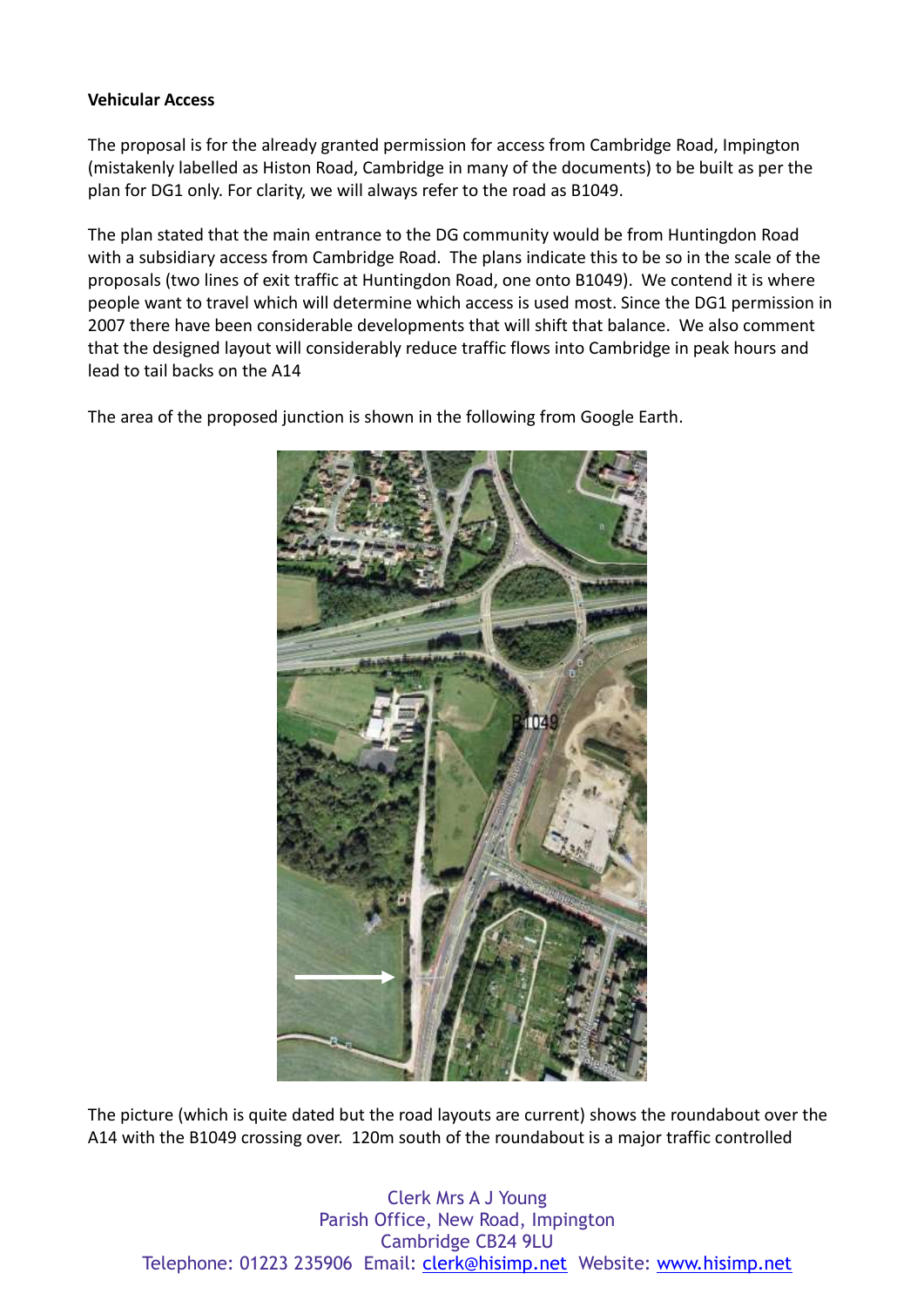### **Vehicular Access**

The proposal is for the already granted permission for access from Cambridge Road, Impington (mistakenly labelled as Histon Road, Cambridge in many of the documents) to be built as per the plan for DG1 only. For clarity, we will always refer to the road as B1049.

The plan stated that the main entrance to the DG community would be from Huntingdon Road with a subsidiary access from Cambridge Road. The plans indicate this to be so in the scale of the proposals (two lines of exit traffic at Huntingdon Road, one onto B1049). We contend it is where people want to travel which will determine which access is used most. Since the DG1 permission in 2007 there have been considerable developments that will shift that balance. We also comment that the designed layout will considerably reduce traffic flows into Cambridge in peak hours and lead to tail backs on the A14

The area of the proposed junction is shown in the following from Google Earth.



The picture (which is quite dated but the road layouts are current) shows the roundabout over the A14 with the B1049 crossing over. 120m south of the roundabout is a major traffic controlled

Clerk Mrs A J Young Parish Office, New Road, Impington Cambridge CB24 9LU Telephone: 01223 235906 Email: [clerk@hisimp.net](mailto:clerk@hisimp.net) Website: [www.hisimp.net](http://www.hisimp.net/)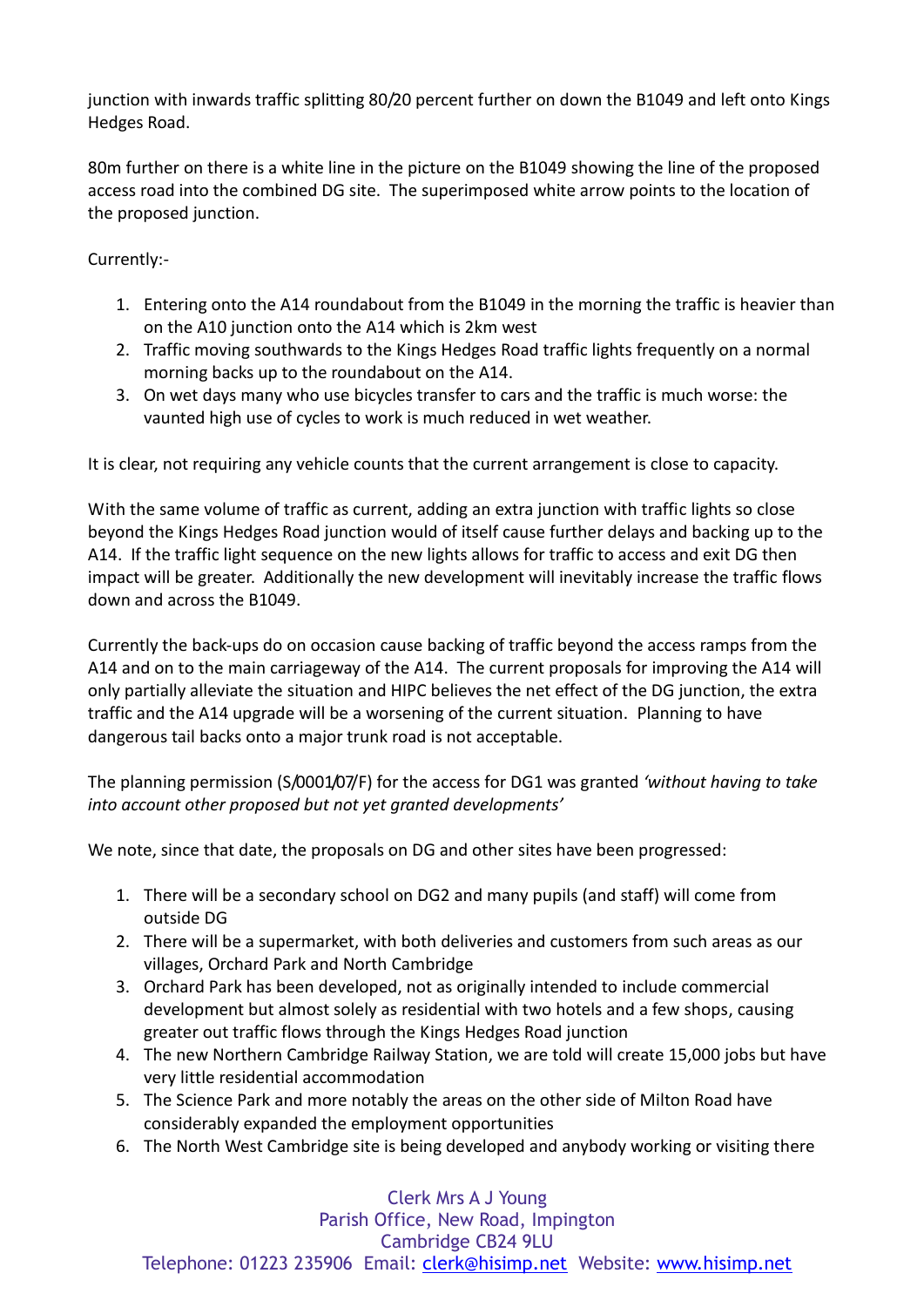junction with inwards traffic splitting 80/20 percent further on down the B1049 and left onto Kings Hedges Road.

80m further on there is a white line in the picture on the B1049 showing the line of the proposed access road into the combined DG site. The superimposed white arrow points to the location of the proposed junction.

Currently:-

- 1. Entering onto the A14 roundabout from the B1049 in the morning the traffic is heavier than on the A10 junction onto the A14 which is 2km west
- 2. Traffic moving southwards to the Kings Hedges Road traffic lights frequently on a normal morning backs up to the roundabout on the A14.
- 3. On wet days many who use bicycles transfer to cars and the traffic is much worse: the vaunted high use of cycles to work is much reduced in wet weather.

It is clear, not requiring any vehicle counts that the current arrangement is close to capacity.

With the same volume of traffic as current, adding an extra junction with traffic lights so close beyond the Kings Hedges Road junction would of itself cause further delays and backing up to the A14. If the traffic light sequence on the new lights allows for traffic to access and exit DG then impact will be greater. Additionally the new development will inevitably increase the traffic flows down and across the B1049.

Currently the back-ups do on occasion cause backing of traffic beyond the access ramps from the A14 and on to the main carriageway of the A14. The current proposals for improving the A14 will only partially alleviate the situation and HIPC believes the net effect of the DG junction, the extra traffic and the A14 upgrade will be a worsening of the current situation. Planning to have dangerous tail backs onto a major trunk road is not acceptable.

The planning permission (S/0001/07/F) for the access for DG1 was granted *'without having to take into account other proposed but not yet granted developments'*

We note, since that date, the proposals on DG and other sites have been progressed:

- 1. There will be a secondary school on DG2 and many pupils (and staff) will come from outside DG
- 2. There will be a supermarket, with both deliveries and customers from such areas as our villages, Orchard Park and North Cambridge
- 3. Orchard Park has been developed, not as originally intended to include commercial development but almost solely as residential with two hotels and a few shops, causing greater out traffic flows through the Kings Hedges Road junction
- 4. The new Northern Cambridge Railway Station, we are told will create 15,000 jobs but have very little residential accommodation
- 5. The Science Park and more notably the areas on the other side of Milton Road have considerably expanded the employment opportunities
- 6. The North West Cambridge site is being developed and anybody working or visiting there

Clerk Mrs A J Young Parish Office, New Road, Impington Cambridge CB24 9LU Telephone: 01223 235906 Email: [clerk@hisimp.net](mailto:clerk@hisimp.net) Website: [www.hisimp.net](http://www.hisimp.net/)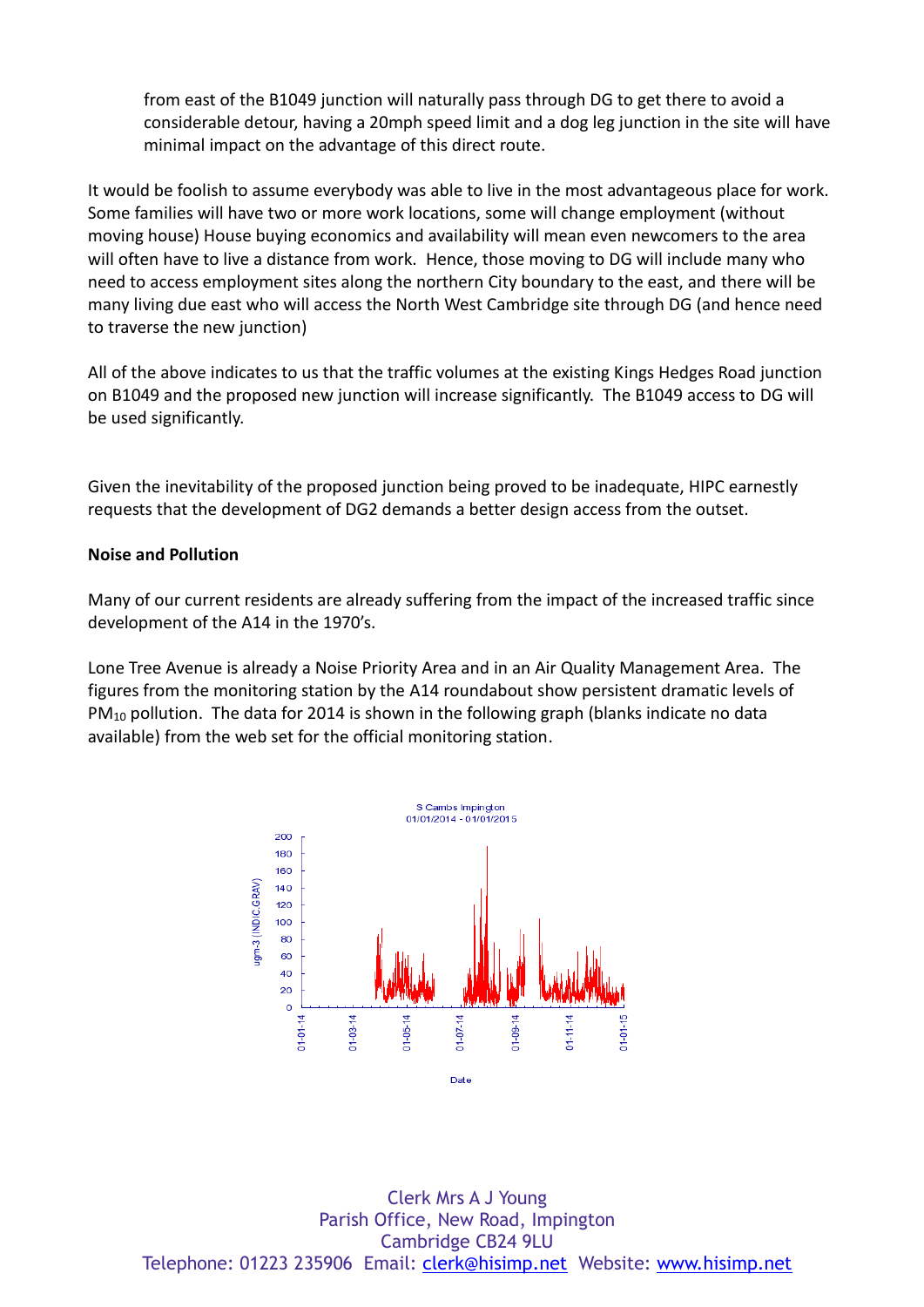from east of the B1049 junction will naturally pass through DG to get there to avoid a considerable detour, having a 20mph speed limit and a dog leg junction in the site will have minimal impact on the advantage of this direct route.

It would be foolish to assume everybody was able to live in the most advantageous place for work. Some families will have two or more work locations, some will change employment (without moving house) House buying economics and availability will mean even newcomers to the area will often have to live a distance from work. Hence, those moving to DG will include many who need to access employment sites along the northern City boundary to the east, and there will be many living due east who will access the North West Cambridge site through DG (and hence need to traverse the new junction)

All of the above indicates to us that the traffic volumes at the existing Kings Hedges Road junction on B1049 and the proposed new junction will increase significantly. The B1049 access to DG will be used significantly.

Given the inevitability of the proposed junction being proved to be inadequate, HIPC earnestly requests that the development of DG2 demands a better design access from the outset.

#### **Noise and Pollution**

Many of our current residents are already suffering from the impact of the increased traffic since development of the A14 in the 1970's.

Lone Tree Avenue is already a Noise Priority Area and in an Air Quality Management Area. The figures from the monitoring station by the A14 roundabout show persistent dramatic levels of PM<sub>10</sub> pollution. The data for 2014 is shown in the following graph (blanks indicate no data available) from the web set for the official monitoring station.



Clerk Mrs A J Young Parish Office, New Road, Impington Cambridge CB24 9LU Telephone: 01223 235906 Email: [clerk@hisimp.net](mailto:clerk@hisimp.net) Website: [www.hisimp.net](http://www.hisimp.net/)